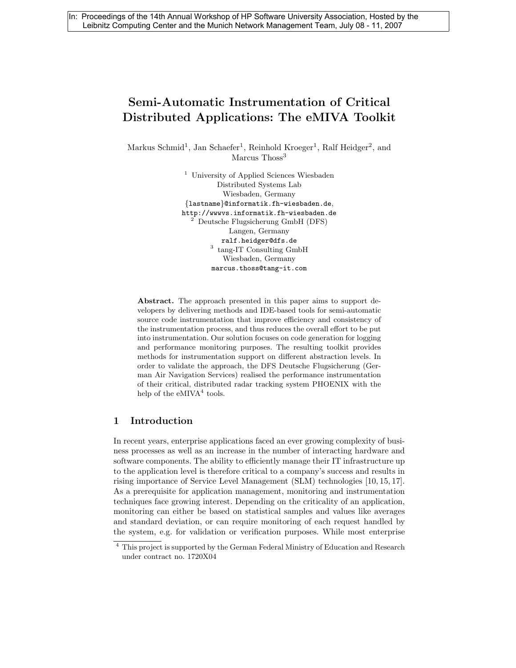# Semi-Automatic Instrumentation of Critical Distributed Applications: The eMIVA Toolkit

Markus Schmid<sup>1</sup>, Jan Schaefer<sup>1</sup>, Reinhold Kroeger<sup>1</sup>, Ralf Heidger<sup>2</sup>, and Marcus Thoss<sup>3</sup>

> <sup>1</sup> University of Applied Sciences Wiesbaden Distributed Systems Lab Wiesbaden, Germany {lastname}@informatik.fh-wiesbaden.de, http://wwwvs.informatik.fh-wiesbaden.de <sup>2</sup> Deutsche Flugsicherung GmbH (DFS) Langen, Germany ralf.heidger@dfs.de <sup>3</sup> tang-IT Consulting GmbH Wiesbaden, Germany marcus.thoss@tang-it.com

Abstract. The approach presented in this paper aims to support developers by delivering methods and IDE-based tools for semi-automatic source code instrumentation that improve efficiency and consistency of the instrumentation process, and thus reduces the overall effort to be put into instrumentation. Our solution focuses on code generation for logging and performance monitoring purposes. The resulting toolkit provides methods for instrumentation support on different abstraction levels. In order to validate the approach, the DFS Deutsche Flugsicherung (German Air Navigation Services) realised the performance instrumentation of their critical, distributed radar tracking system PHOENIX with the help of the  $eMIVA<sup>4</sup>$  tools.

#### 1 Introduction

In recent years, enterprise applications faced an ever growing complexity of business processes as well as an increase in the number of interacting hardware and software components. The ability to efficiently manage their IT infrastructure up to the application level is therefore critical to a company's success and results in rising importance of Service Level Management (SLM) technologies [10, 15, 17]. As a prerequisite for application management, monitoring and instrumentation techniques face growing interest. Depending on the criticality of an application, monitoring can either be based on statistical samples and values like averages and standard deviation, or can require monitoring of each request handled by the system, e.g. for validation or verification purposes. While most enterprise

<sup>4</sup> This project is supported by the German Federal Ministry of Education and Research under contract no. 1720X04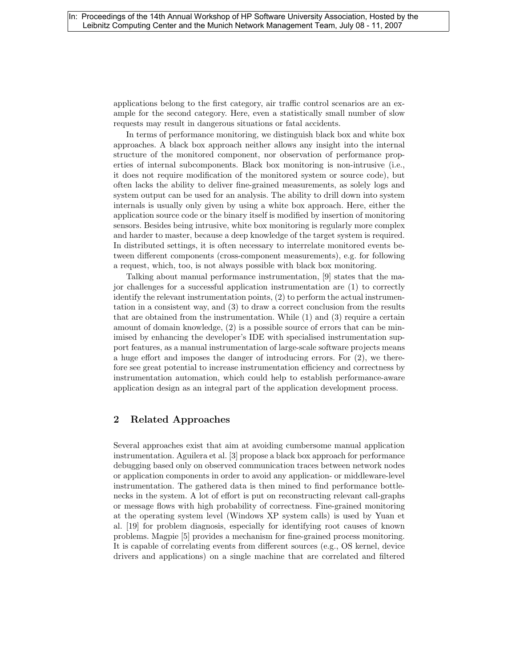applications belong to the first category, air traffic control scenarios are an example for the second category. Here, even a statistically small number of slow requests may result in dangerous situations or fatal accidents.

In terms of performance monitoring, we distinguish black box and white box approaches. A black box approach neither allows any insight into the internal structure of the monitored component, nor observation of performance properties of internal subcomponents. Black box monitoring is non-intrusive (i.e., it does not require modification of the monitored system or source code), but often lacks the ability to deliver fine-grained measurements, as solely logs and system output can be used for an analysis. The ability to drill down into system internals is usually only given by using a white box approach. Here, either the application source code or the binary itself is modified by insertion of monitoring sensors. Besides being intrusive, white box monitoring is regularly more complex and harder to master, because a deep knowledge of the target system is required. In distributed settings, it is often necessary to interrelate monitored events between different components (cross-component measurements), e.g. for following a request, which, too, is not always possible with black box monitoring.

Talking about manual performance instrumentation, [9] states that the major challenges for a successful application instrumentation are (1) to correctly identify the relevant instrumentation points, (2) to perform the actual instrumentation in a consistent way, and (3) to draw a correct conclusion from the results that are obtained from the instrumentation. While (1) and (3) require a certain amount of domain knowledge, (2) is a possible source of errors that can be minimised by enhancing the developer's IDE with specialised instrumentation support features, as a manual instrumentation of large-scale software projects means a huge effort and imposes the danger of introducing errors. For (2), we therefore see great potential to increase instrumentation efficiency and correctness by instrumentation automation, which could help to establish performance-aware application design as an integral part of the application development process.

### 2 Related Approaches

Several approaches exist that aim at avoiding cumbersome manual application instrumentation. Aguilera et al. [3] propose a black box approach for performance debugging based only on observed communication traces between network nodes or application components in order to avoid any application- or middleware-level instrumentation. The gathered data is then mined to find performance bottlenecks in the system. A lot of effort is put on reconstructing relevant call-graphs or message flows with high probability of correctness. Fine-grained monitoring at the operating system level (Windows XP system calls) is used by Yuan et al. [19] for problem diagnosis, especially for identifying root causes of known problems. Magpie [5] provides a mechanism for fine-grained process monitoring. It is capable of correlating events from different sources (e.g., OS kernel, device drivers and applications) on a single machine that are correlated and filtered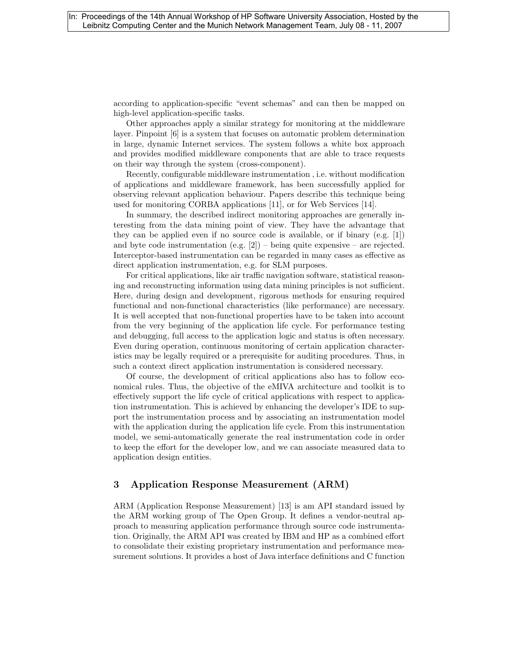according to application-specific "event schemas" and can then be mapped on high-level application-specific tasks.

Other approaches apply a similar strategy for monitoring at the middleware layer. Pinpoint [6] is a system that focuses on automatic problem determination in large, dynamic Internet services. The system follows a white box approach and provides modified middleware components that are able to trace requests on their way through the system (cross-component).

Recently, configurable middleware instrumentation , i.e. without modification of applications and middleware framework, has been successfully applied for observing relevant application behaviour. Papers describe this technique being used for monitoring CORBA applications [11], or for Web Services [14].

In summary, the described indirect monitoring approaches are generally interesting from the data mining point of view. They have the advantage that they can be applied even if no source code is available, or if binary (e.g. [1]) and byte code instrumentation (e.g.  $[2]$ ) – being quite expensive – are rejected. Interceptor-based instrumentation can be regarded in many cases as effective as direct application instrumentation, e.g. for SLM purposes.

For critical applications, like air traffic navigation software, statistical reasoning and reconstructing information using data mining principles is not sufficient. Here, during design and development, rigorous methods for ensuring required functional and non-functional characteristics (like performance) are necessary. It is well accepted that non-functional properties have to be taken into account from the very beginning of the application life cycle. For performance testing and debugging, full access to the application logic and status is often necessary. Even during operation, continuous monitoring of certain application characteristics may be legally required or a prerequisite for auditing procedures. Thus, in such a context direct application instrumentation is considered necessary.

Of course, the development of critical applications also has to follow economical rules. Thus, the objective of the eMIVA architecture and toolkit is to effectively support the life cycle of critical applications with respect to application instrumentation. This is achieved by enhancing the developer's IDE to support the instrumentation process and by associating an instrumentation model with the application during the application life cycle. From this instrumentation model, we semi-automatically generate the real instrumentation code in order to keep the effort for the developer low, and we can associate measured data to application design entities.

### 3 Application Response Measurement (ARM)

ARM (Application Response Measurement) [13] is am API standard issued by the ARM working group of The Open Group. It defines a vendor-neutral approach to measuring application performance through source code instrumentation. Originally, the ARM API was created by IBM and HP as a combined effort to consolidate their existing proprietary instrumentation and performance measurement solutions. It provides a host of Java interface definitions and C function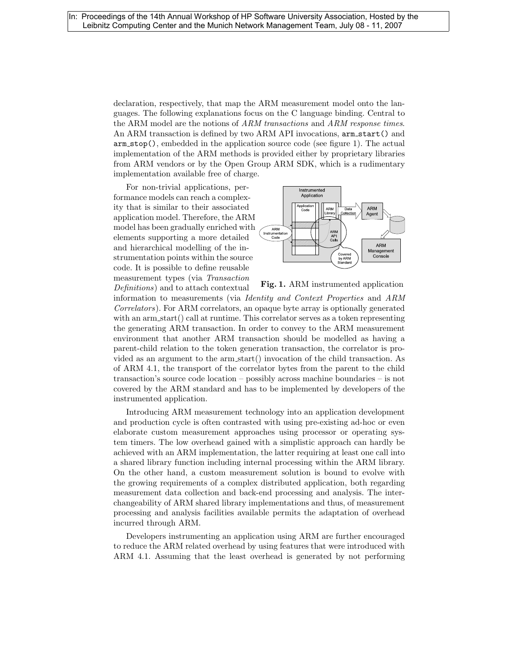declaration, respectively, that map the ARM measurement model onto the languages. The following explanations focus on the C language binding. Central to the ARM model are the notions of ARM transactions and ARM response times. An ARM transaction is defined by two ARM API invocations,  $arm\_start()$  and arm stop(), embedded in the application source code (see figure 1). The actual implementation of the ARM methods is provided either by proprietary libraries from ARM vendors or by the Open Group ARM SDK, which is a rudimentary implementation available free of charge.

For non-trivial applications, performance models can reach a complexity that is similar to their associated application model. Therefore, the ARM model has been gradually enriched with elements supporting a more detailed and hierarchical modelling of the instrumentation points within the source code. It is possible to define reusable measurement types (via Transaction Definitions) and to attach contextual



Fig. 1. ARM instrumented application

information to measurements (via Identity and Context Properties and ARM Correlators). For ARM correlators, an opaque byte array is optionally generated with an arm start() call at runtime. This correlator serves as a token representing the generating ARM transaction. In order to convey to the ARM measurement environment that another ARM transaction should be modelled as having a parent-child relation to the token generation transaction, the correlator is provided as an argument to the arm start() invocation of the child transaction. As of ARM 4.1, the transport of the correlator bytes from the parent to the child transaction's source code location – possibly across machine boundaries – is not covered by the ARM standard and has to be implemented by developers of the instrumented application.

Introducing ARM measurement technology into an application development and production cycle is often contrasted with using pre-existing ad-hoc or even elaborate custom measurement approaches using processor or operating system timers. The low overhead gained with a simplistic approach can hardly be achieved with an ARM implementation, the latter requiring at least one call into a shared library function including internal processing within the ARM library. On the other hand, a custom measurement solution is bound to evolve with the growing requirements of a complex distributed application, both regarding measurement data collection and back-end processing and analysis. The interchangeability of ARM shared library implementations and thus, of measurement processing and analysis facilities available permits the adaptation of overhead incurred through ARM.

Developers instrumenting an application using ARM are further encouraged to reduce the ARM related overhead by using features that were introduced with ARM 4.1. Assuming that the least overhead is generated by not performing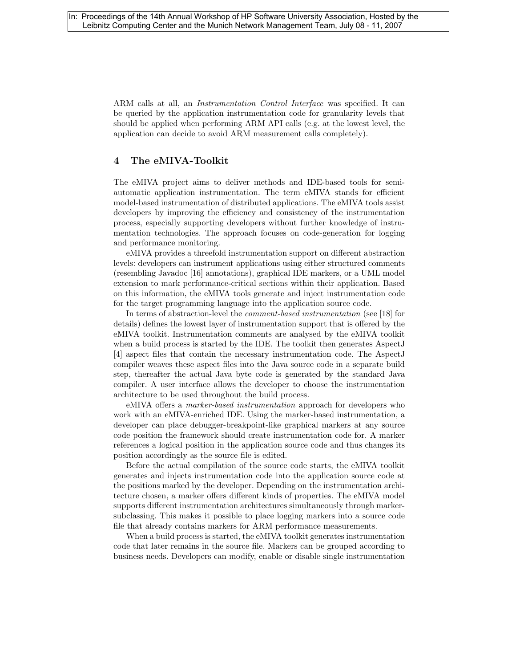ARM calls at all, an Instrumentation Control Interface was specified. It can be queried by the application instrumentation code for granularity levels that should be applied when performing ARM API calls (e.g. at the lowest level, the application can decide to avoid ARM measurement calls completely).

#### 4 The eMIVA-Toolkit

The eMIVA project aims to deliver methods and IDE-based tools for semiautomatic application instrumentation. The term eMIVA stands for efficient model-based instrumentation of distributed applications. The eMIVA tools assist developers by improving the efficiency and consistency of the instrumentation process, especially supporting developers without further knowledge of instrumentation technologies. The approach focuses on code-generation for logging and performance monitoring.

eMIVA provides a threefold instrumentation support on different abstraction levels: developers can instrument applications using either structured comments (resembling Javadoc [16] annotations), graphical IDE markers, or a UML model extension to mark performance-critical sections within their application. Based on this information, the eMIVA tools generate and inject instrumentation code for the target programming language into the application source code.

In terms of abstraction-level the comment-based instrumentation (see [18] for details) defines the lowest layer of instrumentation support that is offered by the eMIVA toolkit. Instrumentation comments are analysed by the eMIVA toolkit when a build process is started by the IDE. The toolkit then generates AspectJ [4] aspect files that contain the necessary instrumentation code. The AspectJ compiler weaves these aspect files into the Java source code in a separate build step, thereafter the actual Java byte code is generated by the standard Java compiler. A user interface allows the developer to choose the instrumentation architecture to be used throughout the build process.

eMIVA offers a marker-based instrumentation approach for developers who work with an eMIVA-enriched IDE. Using the marker-based instrumentation, a developer can place debugger-breakpoint-like graphical markers at any source code position the framework should create instrumentation code for. A marker references a logical position in the application source code and thus changes its position accordingly as the source file is edited.

Before the actual compilation of the source code starts, the eMIVA toolkit generates and injects instrumentation code into the application source code at the positions marked by the developer. Depending on the instrumentation architecture chosen, a marker offers different kinds of properties. The eMIVA model supports different instrumentation architectures simultaneously through markersubclassing. This makes it possible to place logging markers into a source code file that already contains markers for ARM performance measurements.

When a build process is started, the eMIVA toolkit generates instrumentation code that later remains in the source file. Markers can be grouped according to business needs. Developers can modify, enable or disable single instrumentation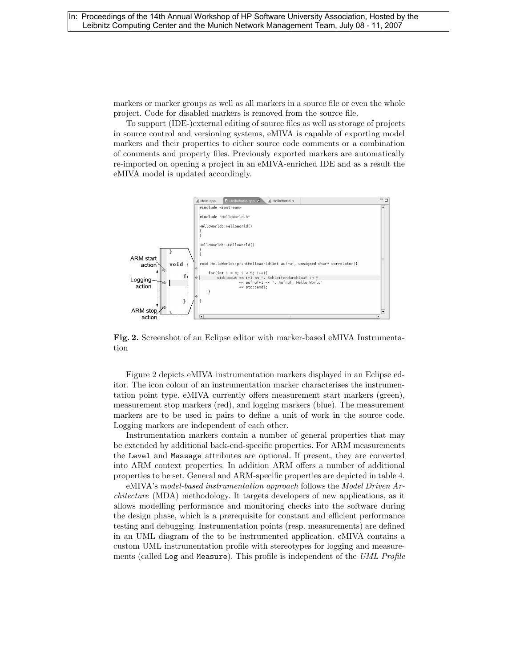markers or marker groups as well as all markers in a source file or even the whole project. Code for disabled markers is removed from the source file.

To support (IDE-)external editing of source files as well as storage of projects in source control and versioning systems, eMIVA is capable of exporting model markers and their properties to either source code comments or a combination of comments and property files. Previously exported markers are automatically re-imported on opening a project in an eMIVA-enriched IDE and as a result the eMIVA model is updated accordingly.



Fig. 2. Screenshot of an Eclipse editor with marker-based eMIVA Instrumentation

Figure 2 depicts eMIVA instrumentation markers displayed in an Eclipse editor. The icon colour of an instrumentation marker characterises the instrumentation point type. eMIVA currently offers measurement start markers (green), measurement stop markers (red), and logging markers (blue). The measurement markers are to be used in pairs to define a unit of work in the source code. Logging markers are independent of each other.

Instrumentation markers contain a number of general properties that may be extended by additional back-end-specific properties. For ARM measurements the Level and Message attributes are optional. If present, they are converted into ARM context properties. In addition ARM offers a number of additional properties to be set. General and ARM-specific properties are depicted in table 4.

eMIVA's model-based instrumentation approach follows the Model Driven Architecture (MDA) methodology. It targets developers of new applications, as it allows modelling performance and monitoring checks into the software during the design phase, which is a prerequisite for constant and efficient performance testing and debugging. Instrumentation points (resp. measurements) are defined in an UML diagram of the to be instrumented application. eMIVA contains a custom UML instrumentation profile with stereotypes for logging and measurements (called Log and Measure). This profile is independent of the UML Profile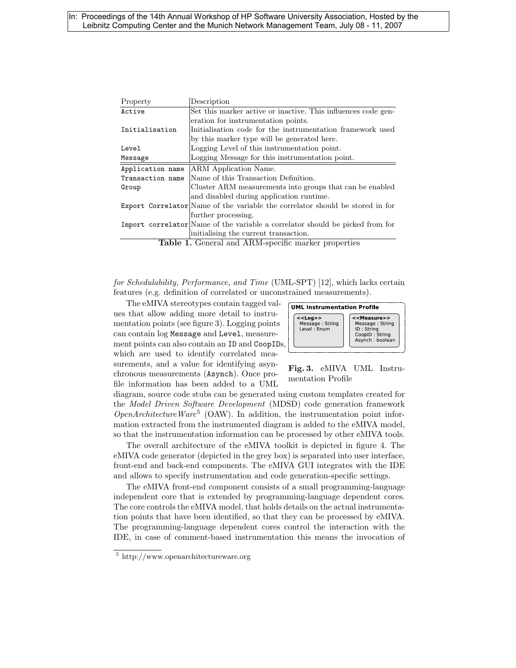#### In: Proceedings of the 14th Annual Workshop of HP Software University Association, Hosted by the Leibnitz Computing Center and the Munich Network Management Team, July 08 - 11, 2007

| Property                                            | Description                                                                   |
|-----------------------------------------------------|-------------------------------------------------------------------------------|
| Active                                              | Set this marker active or inactive. This influences code gen-                 |
|                                                     | eration for instrumentation points.                                           |
| Initialisation                                      | Initialisation code for the instrumentation framework used                    |
|                                                     | by this marker type will be generated here.                                   |
| Level                                               | Logging Level of this instrumentation point.                                  |
| Message                                             | Logging Message for this instrumentation point.                               |
| Application name                                    | ARM Application Name.                                                         |
| Transaction name                                    | Name of this Transaction Definition.                                          |
| Group                                               | Cluster ARM measurements into groups that can be enabled                      |
|                                                     | and disabled during application runtime.                                      |
|                                                     | Export Correlator Name of the variable the correlator should be stored in for |
|                                                     | further processing.                                                           |
|                                                     | Import correlator Name of the variable a correlator should be picked from for |
|                                                     | initialising the current transaction.                                         |
| Table 1. General and ARM-specific marker properties |                                                                               |

for Schedulability, Performance, and Time (UML-SPT) [12], which lacks certain features (e.g. definition of correlated or unconstrained measurements).

The eMIVA stereotypes contain tagged values that allow adding more detail to instrumentation points (see figure 3). Logging points can contain log Message and Level, measurement points can also contain an ID and CoopIDs, which are used to identify correlated measurements, and a value for identifying asynchronous measurements (Asynch). Once profile information has been added to a UML



Fig. 3. eMIVA UML Instrumentation Profile

diagram, source code stubs can be generated using custom templates created for the Model Driven Software Development (MDSD) code generation framework  $OpenArchitecture Ware<sup>5</sup>$  (OAW). In addition, the instrumentation point information extracted from the instrumented diagram is added to the eMIVA model, so that the instrumentation information can be processed by other eMIVA tools.

The overall architecture of the eMIVA toolkit is depicted in figure 4. The eMIVA code generator (depicted in the grey box) is separated into user interface, front-end and back-end components. The eMIVA GUI integrates with the IDE and allows to specify instrumentation and code generation-specific settings.

The eMIVA front-end component consists of a small programming-language independent core that is extended by programming-language dependent cores. The core controls the eMIVA model, that holds details on the actual instrumentation points that have been identified, so that they can be processed by eMIVA. The programming-language dependent cores control the interaction with the IDE, in case of comment-based instrumentation this means the invocation of

<sup>5</sup> http://www.openarchitectureware.org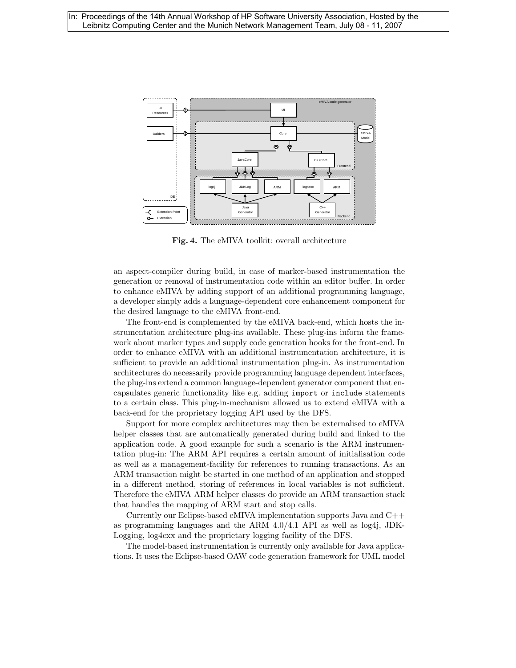

Fig. 4. The eMIVA toolkit: overall architecture

an aspect-compiler during build, in case of marker-based instrumentation the generation or removal of instrumentation code within an editor buffer. In order to enhance eMIVA by adding support of an additional programming language, a developer simply adds a language-dependent core enhancement component for the desired language to the eMIVA front-end.

The front-end is complemented by the eMIVA back-end, which hosts the instrumentation architecture plug-ins available. These plug-ins inform the framework about marker types and supply code generation hooks for the front-end. In order to enhance eMIVA with an additional instrumentation architecture, it is sufficient to provide an additional instrumentation plug-in. As instrumentation architectures do necessarily provide programming language dependent interfaces, the plug-ins extend a common language-dependent generator component that encapsulates generic functionality like e.g. adding import or include statements to a certain class. This plug-in-mechanism allowed us to extend eMIVA with a back-end for the proprietary logging API used by the DFS.

Support for more complex architectures may then be externalised to eMIVA helper classes that are automatically generated during build and linked to the application code. A good example for such a scenario is the ARM instrumentation plug-in: The ARM API requires a certain amount of initialisation code as well as a management-facility for references to running transactions. As an ARM transaction might be started in one method of an application and stopped in a different method, storing of references in local variables is not sufficient. Therefore the eMIVA ARM helper classes do provide an ARM transaction stack that handles the mapping of ARM start and stop calls.

Currently our Eclipse-based eMIVA implementation supports Java and C++ as programming languages and the ARM 4.0/4.1 API as well as log4j, JDK-Logging, log4cxx and the proprietary logging facility of the DFS.

The model-based instrumentation is currently only available for Java applications. It uses the Eclipse-based OAW code generation framework for UML model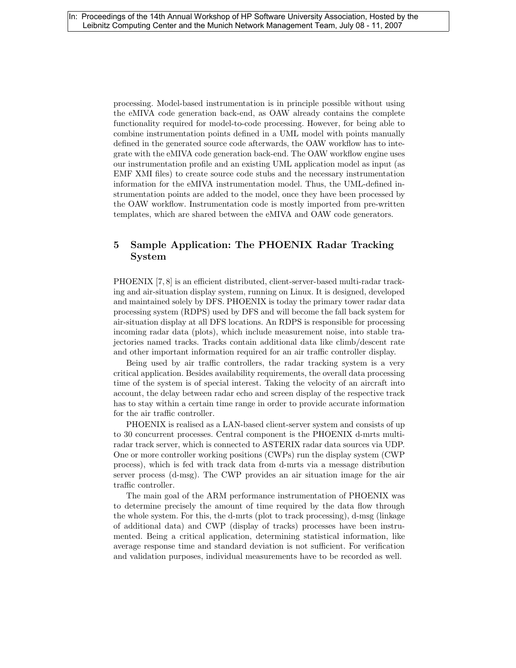processing. Model-based instrumentation is in principle possible without using the eMIVA code generation back-end, as OAW already contains the complete functionality required for model-to-code processing. However, for being able to combine instrumentation points defined in a UML model with points manually defined in the generated source code afterwards, the OAW workflow has to integrate with the eMIVA code generation back-end. The OAW workflow engine uses our instrumentation profile and an existing UML application model as input (as EMF XMI files) to create source code stubs and the necessary instrumentation information for the eMIVA instrumentation model. Thus, the UML-defined instrumentation points are added to the model, once they have been processed by the OAW workflow. Instrumentation code is mostly imported from pre-written templates, which are shared between the eMIVA and OAW code generators.

## 5 Sample Application: The PHOENIX Radar Tracking System

PHOENIX [7, 8] is an efficient distributed, client-server-based multi-radar tracking and air-situation display system, running on Linux. It is designed, developed and maintained solely by DFS. PHOENIX is today the primary tower radar data processing system (RDPS) used by DFS and will become the fall back system for air-situation display at all DFS locations. An RDPS is responsible for processing incoming radar data (plots), which include measurement noise, into stable trajectories named tracks. Tracks contain additional data like climb/descent rate and other important information required for an air traffic controller display.

Being used by air traffic controllers, the radar tracking system is a very critical application. Besides availability requirements, the overall data processing time of the system is of special interest. Taking the velocity of an aircraft into account, the delay between radar echo and screen display of the respective track has to stay within a certain time range in order to provide accurate information for the air traffic controller.

PHOENIX is realised as a LAN-based client-server system and consists of up to 30 concurrent processes. Central component is the PHOENIX d-mrts multiradar track server, which is connected to ASTERIX radar data sources via UDP. One or more controller working positions (CWPs) run the display system (CWP process), which is fed with track data from d-mrts via a message distribution server process (d-msg). The CWP provides an air situation image for the air traffic controller.

The main goal of the ARM performance instrumentation of PHOENIX was to determine precisely the amount of time required by the data flow through the whole system. For this, the d-mrts (plot to track processing), d-msg (linkage of additional data) and CWP (display of tracks) processes have been instrumented. Being a critical application, determining statistical information, like average response time and standard deviation is not sufficient. For verification and validation purposes, individual measurements have to be recorded as well.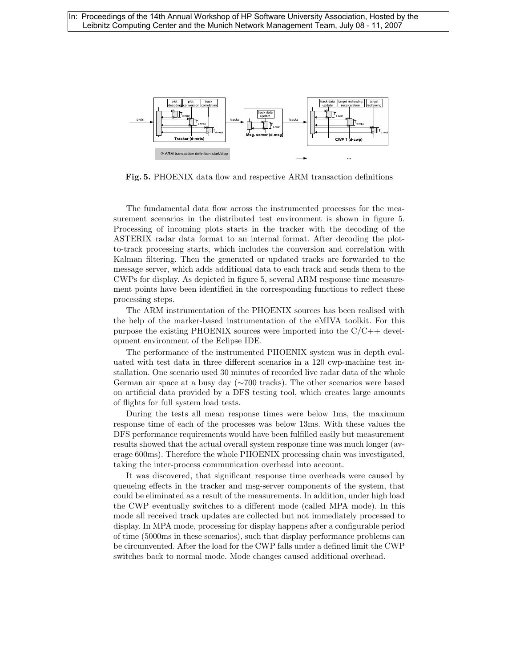

Fig. 5. PHOENIX data flow and respective ARM transaction definitions

The fundamental data flow across the instrumented processes for the measurement scenarios in the distributed test environment is shown in figure 5. Processing of incoming plots starts in the tracker with the decoding of the ASTERIX radar data format to an internal format. After decoding the plotto-track processing starts, which includes the conversion and correlation with Kalman filtering. Then the generated or updated tracks are forwarded to the message server, which adds additional data to each track and sends them to the CWPs for display. As depicted in figure 5, several ARM response time measurement points have been identified in the corresponding functions to reflect these processing steps.

The ARM instrumentation of the PHOENIX sources has been realised with the help of the marker-based instrumentation of the eMIVA toolkit. For this purpose the existing PHOENIX sources were imported into the  $C/C++$  development environment of the Eclipse IDE.

The performance of the instrumented PHOENIX system was in depth evaluated with test data in three different scenarios in a 120 cwp-machine test installation. One scenario used 30 minutes of recorded live radar data of the whole German air space at a busy day (∼700 tracks). The other scenarios were based on artificial data provided by a DFS testing tool, which creates large amounts of flights for full system load tests.

During the tests all mean response times were below 1ms, the maximum response time of each of the processes was below 13ms. With these values the DFS performance requirements would have been fulfilled easily but measurement results showed that the actual overall system response time was much longer (average 600ms). Therefore the whole PHOENIX processing chain was investigated, taking the inter-process communication overhead into account.

It was discovered, that significant response time overheads were caused by queueing effects in the tracker and msg-server components of the system, that could be eliminated as a result of the measurements. In addition, under high load the CWP eventually switches to a different mode (called MPA mode). In this mode all received track updates are collected but not immediately processed to display. In MPA mode, processing for display happens after a configurable period of time (5000ms in these scenarios), such that display performance problems can be circumvented. After the load for the CWP falls under a defined limit the CWP switches back to normal mode. Mode changes caused additional overhead.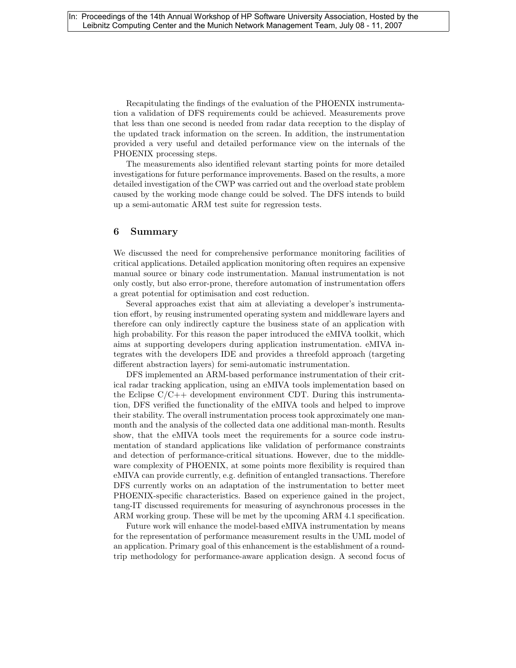Recapitulating the findings of the evaluation of the PHOENIX instrumentation a validation of DFS requirements could be achieved. Measurements prove that less than one second is needed from radar data reception to the display of the updated track information on the screen. In addition, the instrumentation provided a very useful and detailed performance view on the internals of the PHOENIX processing steps.

The measurements also identified relevant starting points for more detailed investigations for future performance improvements. Based on the results, a more detailed investigation of the CWP was carried out and the overload state problem caused by the working mode change could be solved. The DFS intends to build up a semi-automatic ARM test suite for regression tests.

#### 6 Summary

We discussed the need for comprehensive performance monitoring facilities of critical applications. Detailed application monitoring often requires an expensive manual source or binary code instrumentation. Manual instrumentation is not only costly, but also error-prone, therefore automation of instrumentation offers a great potential for optimisation and cost reduction.

Several approaches exist that aim at alleviating a developer's instrumentation effort, by reusing instrumented operating system and middleware layers and therefore can only indirectly capture the business state of an application with high probability. For this reason the paper introduced the eMIVA toolkit, which aims at supporting developers during application instrumentation. eMIVA integrates with the developers IDE and provides a threefold approach (targeting different abstraction layers) for semi-automatic instrumentation.

DFS implemented an ARM-based performance instrumentation of their critical radar tracking application, using an eMIVA tools implementation based on the Eclipse  $C/C++$  development environment CDT. During this instrumentation, DFS verified the functionality of the eMIVA tools and helped to improve their stability. The overall instrumentation process took approximately one manmonth and the analysis of the collected data one additional man-month. Results show, that the eMIVA tools meet the requirements for a source code instrumentation of standard applications like validation of performance constraints and detection of performance-critical situations. However, due to the middleware complexity of PHOENIX, at some points more flexibility is required than eMIVA can provide currently, e.g. definition of entangled transactions. Therefore DFS currently works on an adaptation of the instrumentation to better meet PHOENIX-specific characteristics. Based on experience gained in the project, tang-IT discussed requirements for measuring of asynchronous processes in the ARM working group. These will be met by the upcoming ARM 4.1 specification.

Future work will enhance the model-based eMIVA instrumentation by means for the representation of performance measurement results in the UML model of an application. Primary goal of this enhancement is the establishment of a roundtrip methodology for performance-aware application design. A second focus of